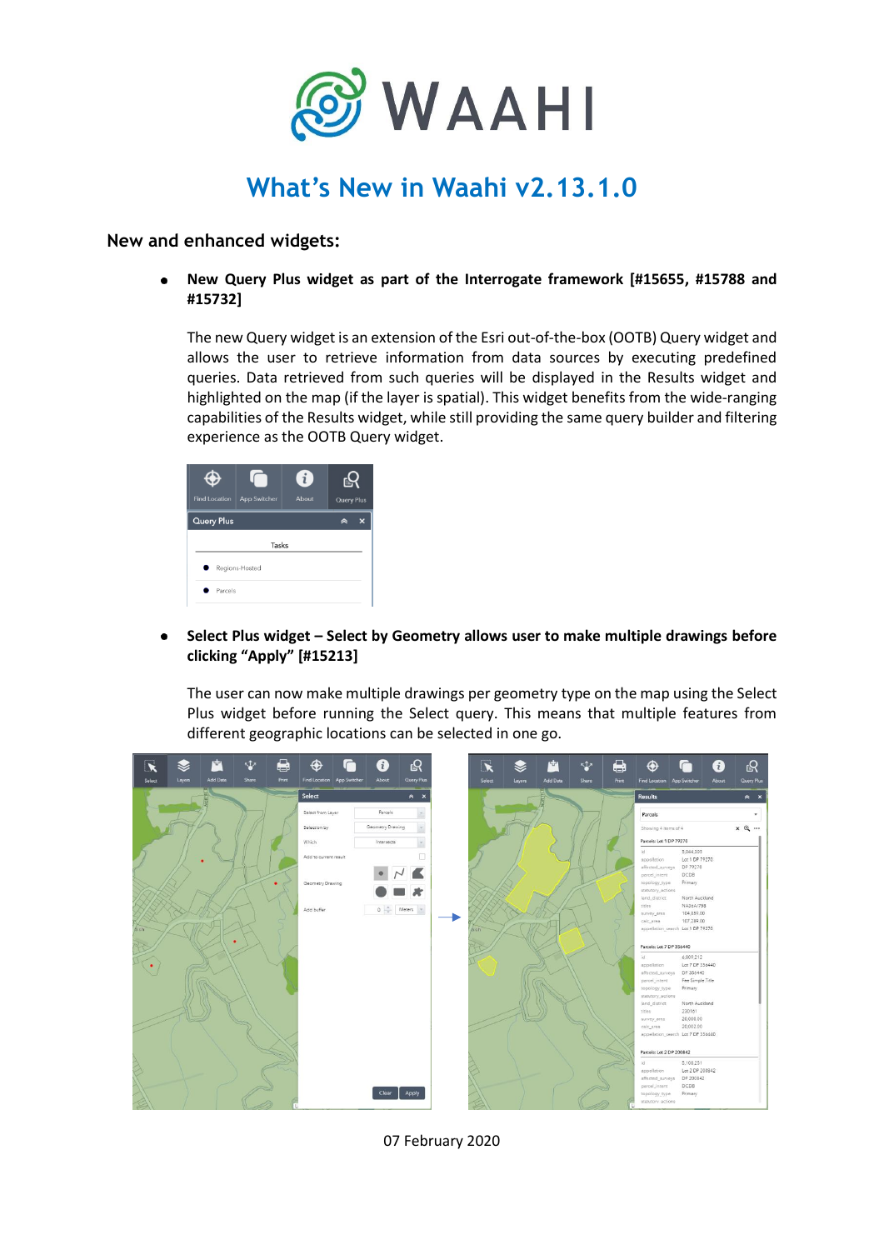

## **What's New in Waahi v2.13.1.0**

**New and enhanced widgets:**

**New Query Plus widget as part of the Interrogate framework [#15655, #15788 and #15732]**

The new Query widget is an extension of the Esri out-of-the-box (OOTB) Query widget and allows the user to retrieve information from data sources by executing predefined queries. Data retrieved from such queries will be displayed in the Results widget and highlighted on the map (if the layer is spatial). This widget benefits from the wide-ranging capabilities of the Results widget, while still providing the same query builder and filtering experience as the OOTB Query widget.

| <b>Find Location</b>    | App Switcher | $\mathbf{i}$<br>About | <b>Axis</b><br><b>Query Plus</b> |  |  |
|-------------------------|--------------|-----------------------|----------------------------------|--|--|
| <b>Query Plus</b>       |              |                       | ×                                |  |  |
| Tasks<br>Regions-Hosted |              |                       |                                  |  |  |
| Parcels                 |              |                       |                                  |  |  |

**Select Plus widget – Select by Geometry allows user to make multiple drawings before clicking "Apply" [#15213]**

The user can now make multiple drawings per geometry type on the map using the Select Plus widget before running the Select query. This means that multiple features from different geographic locations can be selected in one go.



07 February 2020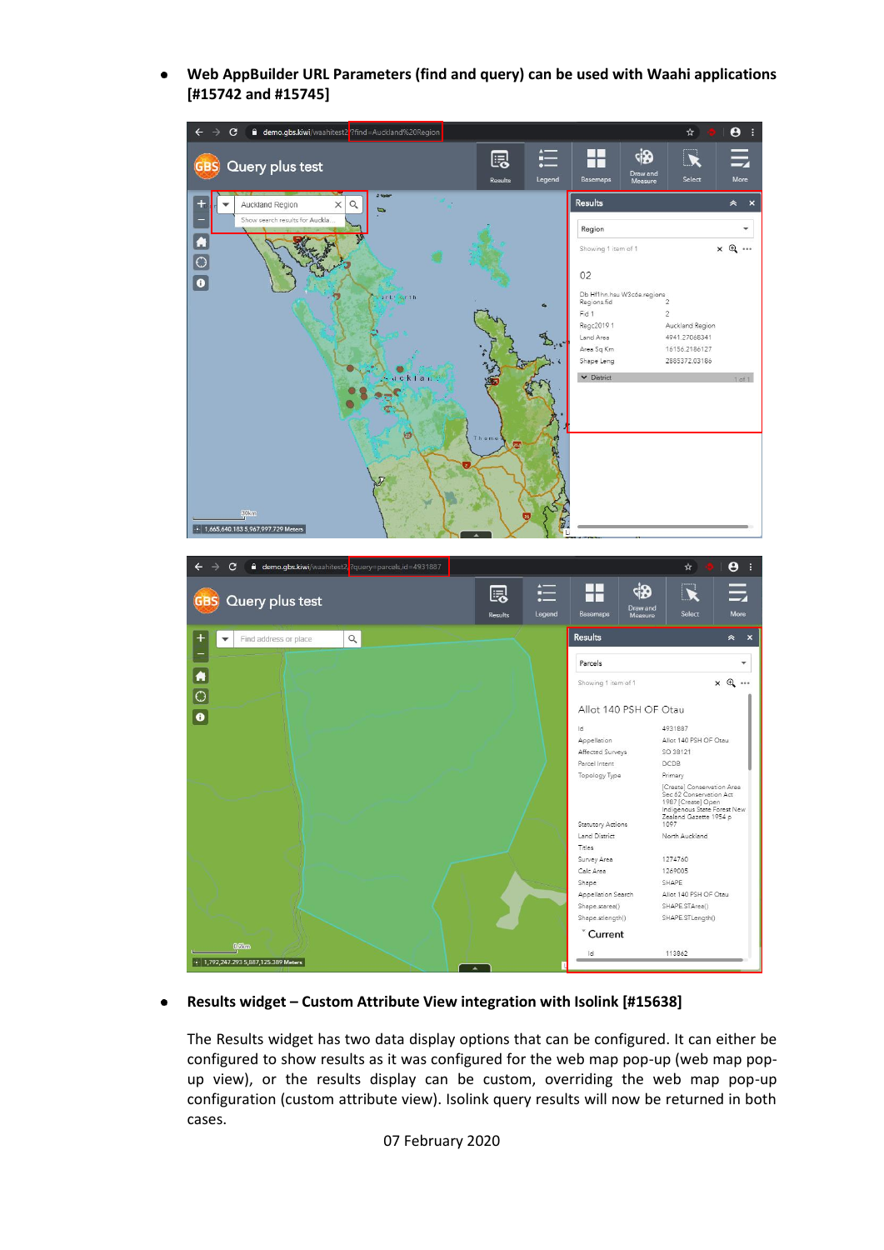**Web AppBuilder URL Parameters (find and query) can be used with Waahi applications [#15742 and #15745]**



## **Results widget – Custom Attribute View integration with Isolink [#15638]**

The Results widget has two data display options that can be configured. It can either be configured to show results as it was configured for the web map pop-up (web map popup view), or the results display can be custom, overriding the web map pop-up configuration (custom attribute view). Isolink query results will now be returned in both cases.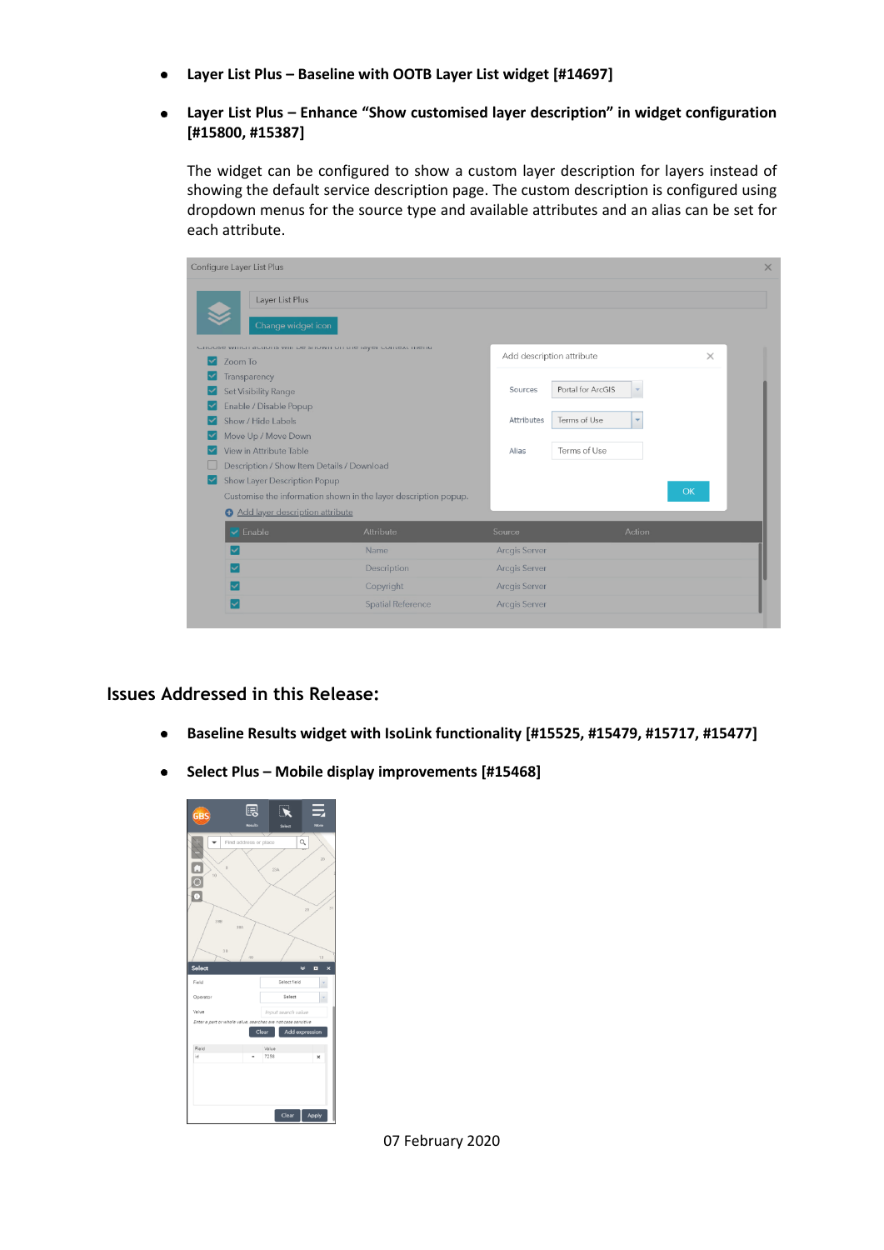- **Layer List Plus – Baseline with OOTB Layer List widget [#14697]**
- **Layer List Plus – Enhance "Show customised layer description" in widget configuration**   $\bullet$ **[#15800, #15387]**

The widget can be configured to show a custom layer description for layers instead of showing the default service description page. The custom description is configured using dropdown menus for the source type and available attributes and an alias can be set for each attribute.

| Configure Layer List Plus                  |                                                                       |                           |                                          |           |
|--------------------------------------------|-----------------------------------------------------------------------|---------------------------|------------------------------------------|-----------|
| Layer List Plus<br>Change widget icon      |                                                                       |                           |                                          |           |
|                                            | <b>CHOOSE MITICH GCHOID MILL DE SHOMH OIT THE RIVEL COLLEYE HIGHU</b> | Add description attribute |                                          | $\times$  |
| Zoom To                                    |                                                                       |                           |                                          |           |
| Transparency<br>Set Visibility Range       |                                                                       | Sources                   | Portal for ArcGIS                        |           |
| Enable / Disable Popup                     |                                                                       |                           |                                          |           |
| Show / Hide Labels                         |                                                                       | Attributes                | Terms of Use<br>$\overline{\phantom{a}}$ |           |
| Move Up / Move Down                        |                                                                       |                           |                                          |           |
| View in Attribute Table                    |                                                                       | Alias                     | Terms of Use                             |           |
| Description / Show Item Details / Download |                                                                       |                           |                                          |           |
| Show Layer Description Popup<br>⊵          |                                                                       |                           |                                          |           |
|                                            | Customise the information shown in the layer description popup.       |                           |                                          | <b>OK</b> |
| Add layer description attribute            |                                                                       |                           |                                          |           |
| $\blacktriangleright$ Enable               | <b>Attribute</b>                                                      | Source                    | Action                                   |           |
|                                            | Name                                                                  | <b>Arcgis Server</b>      |                                          |           |
|                                            | Description                                                           | <b>Arcgis Server</b>      |                                          |           |
|                                            | Copyright                                                             | <b>Arcgis Server</b>      |                                          |           |
|                                            | <b>Spatial Reference</b>                                              | <b>Arcgis Server</b>      |                                          |           |

**Issues Addressed in this Release:**

- **Baseline Results widget with IsoLink functionality [#15525, #15479, #15717, #15477]**  $\bullet$
- **Select Plus – Mobile display improvements [#15468]** $\bullet$



07 February 2020